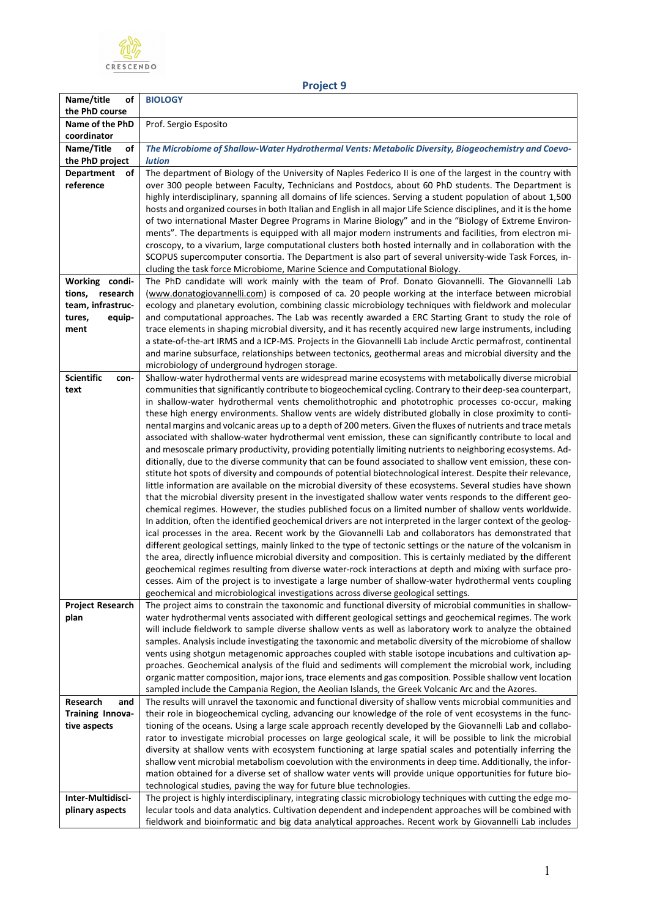

## **Project 9**

| Name/title<br>оf                        | <b>BIOLOGY</b>                                                                                                                                                                                                           |
|-----------------------------------------|--------------------------------------------------------------------------------------------------------------------------------------------------------------------------------------------------------------------------|
| the PhD course<br>Name of the PhD       | Prof. Sergio Esposito                                                                                                                                                                                                    |
| coordinator                             |                                                                                                                                                                                                                          |
| Name/Title<br>οf                        | The Microbiome of Shallow-Water Hydrothermal Vents: Metabolic Diversity, Biogeochemistry and Coevo-                                                                                                                      |
| the PhD project                         | lution                                                                                                                                                                                                                   |
| <b>Department</b><br>оf                 | The department of Biology of the University of Naples Federico II is one of the largest in the country with                                                                                                              |
| reference                               | over 300 people between Faculty, Technicians and Postdocs, about 60 PhD students. The Department is                                                                                                                      |
|                                         | highly interdisciplinary, spanning all domains of life sciences. Serving a student population of about 1,500                                                                                                             |
|                                         | hosts and organized courses in both Italian and English in all major Life Science disciplines, and it is the home                                                                                                        |
|                                         | of two international Master Degree Programs in Marine Biology" and in the "Biology of Extreme Environ-                                                                                                                   |
|                                         | ments". The departments is equipped with all major modern instruments and facilities, from electron mi-<br>croscopy, to a vivarium, large computational clusters both hosted internally and in collaboration with the    |
|                                         | SCOPUS supercomputer consortia. The Department is also part of several university-wide Task Forces, in-                                                                                                                  |
|                                         | cluding the task force Microbiome, Marine Science and Computational Biology.                                                                                                                                             |
| Working condi-                          | The PhD candidate will work mainly with the team of Prof. Donato Giovannelli. The Giovannelli Lab                                                                                                                        |
| tions, research                         | (www.donatogiovannelli.com) is composed of ca. 20 people working at the interface between microbial                                                                                                                      |
| team, infrastruc-                       | ecology and planetary evolution, combining classic microbiology techniques with fieldwork and molecular                                                                                                                  |
| tures,<br>equip-                        | and computational approaches. The Lab was recently awarded a ERC Starting Grant to study the role of                                                                                                                     |
| ment                                    | trace elements in shaping microbial diversity, and it has recently acquired new large instruments, including                                                                                                             |
|                                         | a state-of-the-art IRMS and a ICP-MS. Projects in the Giovannelli Lab include Arctic permafrost, continental<br>and marine subsurface, relationships between tectonics, geothermal areas and microbial diversity and the |
|                                         | microbiology of underground hydrogen storage.                                                                                                                                                                            |
| <b>Scientific</b><br>con-               | Shallow-water hydrothermal vents are widespread marine ecosystems with metabolically diverse microbial                                                                                                                   |
| text                                    | communities that significantly contribute to biogeochemical cycling. Contrary to their deep-sea counterpart,                                                                                                             |
|                                         | in shallow-water hydrothermal vents chemolithotrophic and phototrophic processes co-occur, making                                                                                                                        |
|                                         | these high energy environments. Shallow vents are widely distributed globally in close proximity to conti-                                                                                                               |
|                                         | nental margins and volcanic areas up to a depth of 200 meters. Given the fluxes of nutrients and trace metals                                                                                                            |
|                                         | associated with shallow-water hydrothermal vent emission, these can significantly contribute to local and<br>and mesoscale primary productivity, providing potentially limiting nutrients to neighboring ecosystems. Ad- |
|                                         | ditionally, due to the diverse community that can be found associated to shallow vent emission, these con-                                                                                                               |
|                                         | stitute hot spots of diversity and compounds of potential biotechnological interest. Despite their relevance,                                                                                                            |
|                                         | little information are available on the microbial diversity of these ecosystems. Several studies have shown                                                                                                              |
|                                         | that the microbial diversity present in the investigated shallow water vents responds to the different geo-                                                                                                              |
|                                         | chemical regimes. However, the studies published focus on a limited number of shallow vents worldwide.                                                                                                                   |
|                                         | In addition, often the identified geochemical drivers are not interpreted in the larger context of the geolog-<br>ical processes in the area. Recent work by the Giovannelli Lab and collaborators has demonstrated that |
|                                         | different geological settings, mainly linked to the type of tectonic settings or the nature of the volcanism in                                                                                                          |
|                                         | the area, directly influence microbial diversity and composition. This is certainly mediated by the different                                                                                                            |
|                                         | geochemical regimes resulting from diverse water-rock interactions at depth and mixing with surface pro-                                                                                                                 |
|                                         | cesses. Aim of the project is to investigate a large number of shallow-water hydrothermal vents coupling                                                                                                                 |
|                                         | geochemical and microbiological investigations across diverse geological settings.                                                                                                                                       |
| <b>Project Research</b>                 | The project aims to constrain the taxonomic and functional diversity of microbial communities in shallow-                                                                                                                |
| plan                                    | water hydrothermal vents associated with different geological settings and geochemical regimes. The work<br>will include fieldwork to sample diverse shallow vents as well as laboratory work to analyze the obtained    |
|                                         | samples. Analysis include investigating the taxonomic and metabolic diversity of the microbiome of shallow                                                                                                               |
|                                         | vents using shotgun metagenomic approaches coupled with stable isotope incubations and cultivation ap-                                                                                                                   |
|                                         | proaches. Geochemical analysis of the fluid and sediments will complement the microbial work, including                                                                                                                  |
|                                         | organic matter composition, major ions, trace elements and gas composition. Possible shallow vent location                                                                                                               |
|                                         | sampled include the Campania Region, the Aeolian Islands, the Greek Volcanic Arc and the Azores.                                                                                                                         |
| Research<br>and                         | The results will unravel the taxonomic and functional diversity of shallow vents microbial communities and                                                                                                               |
| <b>Training Innova-</b><br>tive aspects | their role in biogeochemical cycling, advancing our knowledge of the role of vent ecosystems in the func-<br>tioning of the oceans. Using a large scale approach recently developed by the Giovannelli Lab and collabo-  |
|                                         | rator to investigate microbial processes on large geological scale, it will be possible to link the microbial                                                                                                            |
|                                         | diversity at shallow vents with ecosystem functioning at large spatial scales and potentially inferring the                                                                                                              |
|                                         | shallow vent microbial metabolism coevolution with the environments in deep time. Additionally, the infor-                                                                                                               |
|                                         | mation obtained for a diverse set of shallow water vents will provide unique opportunities for future bio-                                                                                                               |
|                                         | technological studies, paving the way for future blue technologies.                                                                                                                                                      |
| Inter-Multidisci-                       | The project is highly interdisciplinary, integrating classic microbiology techniques with cutting the edge mo-                                                                                                           |
| plinary aspects                         | lecular tools and data analytics. Cultivation dependent and independent approaches will be combined with<br>fieldwork and bioinformatic and big data analytical approaches. Recent work by Giovannelli Lab includes      |
|                                         |                                                                                                                                                                                                                          |

٦